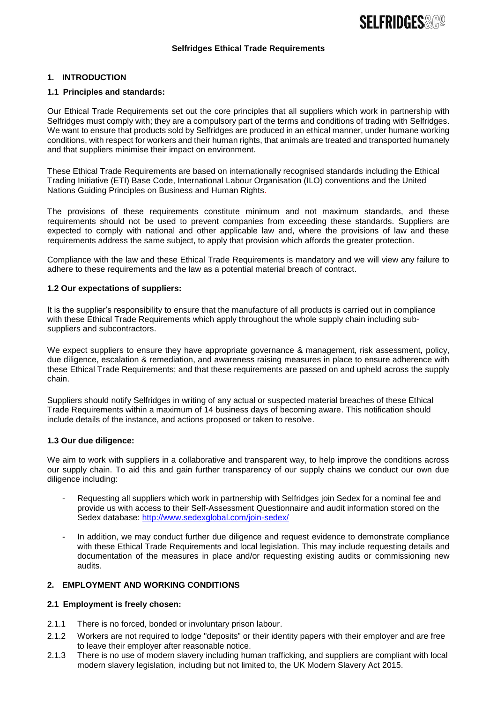# **SFI FRIDGFS & CO.**

#### **Selfridges Ethical Trade Requirements**

## **1. INTRODUCTION**

#### **1.1 Principles and standards:**

Our Ethical Trade Requirements set out the core principles that all suppliers which work in partnership with Selfridges must comply with; they are a compulsory part of the terms and conditions of trading with Selfridges. We want to ensure that products sold by Selfridges are produced in an ethical manner, under humane working conditions, with respect for workers and their human rights, that animals are treated and transported humanely and that suppliers minimise their impact on environment.

These Ethical Trade Requirements are based on internationally recognised standards including the Ethical Trading Initiative (ETI) Base Code, International Labour Organisation (ILO) conventions and the United Nations Guiding Principles on Business and Human Rights.

The provisions of these requirements constitute minimum and not maximum standards, and these requirements should not be used to prevent companies from exceeding these standards. Suppliers are expected to comply with national and other applicable law and, where the provisions of law and these requirements address the same subject, to apply that provision which affords the greater protection.

Compliance with the law and these Ethical Trade Requirements is mandatory and we will view any failure to adhere to these requirements and the law as a potential material breach of contract.

#### **1.2 Our expectations of suppliers:**

It is the supplier's responsibility to ensure that the manufacture of all products is carried out in compliance with these Ethical Trade Requirements which apply throughout the whole supply chain including subsuppliers and subcontractors.

We expect suppliers to ensure they have appropriate governance & management, risk assessment, policy, due diligence, escalation & remediation, and awareness raising measures in place to ensure adherence with these Ethical Trade Requirements; and that these requirements are passed on and upheld across the supply chain.

Suppliers should notify Selfridges in writing of any actual or suspected material breaches of these Ethical Trade Requirements within a maximum of 14 business days of becoming aware. This notification should include details of the instance, and actions proposed or taken to resolve.

#### **1.3 Our due diligence:**

We aim to work with suppliers in a collaborative and transparent way, to help improve the conditions across our supply chain. To aid this and gain further transparency of our supply chains we conduct our own due diligence including:

- Requesting all suppliers which work in partnership with Selfridges join Sedex for a nominal fee and provide us with access to their Self-Assessment Questionnaire and audit information stored on the Sedex database:<http://www.sedexglobal.com/join-sedex/>
- In addition, we may conduct further due diligence and request evidence to demonstrate compliance with these Ethical Trade Requirements and local legislation. This may include requesting details and documentation of the measures in place and/or requesting existing audits or commissioning new audits.

## **2. EMPLOYMENT AND WORKING CONDITIONS**

#### **2.1 Employment is freely chosen:**

- 2.1.1 There is no forced, bonded or involuntary prison labour.
- 2.1.2 Workers are not required to lodge "deposits" or their identity papers with their employer and are free to leave their employer after reasonable notice.
- 2.1.3 There is no use of modern slavery including human trafficking, and suppliers are compliant with local modern slavery legislation, including but not limited to, the UK Modern Slavery Act 2015.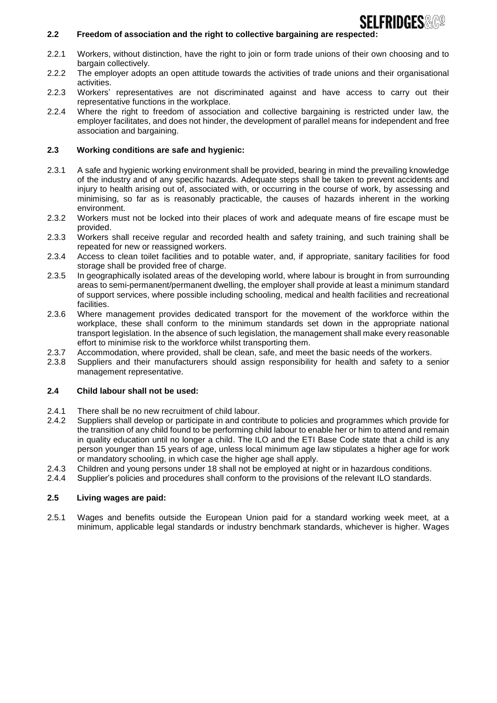# **SFI FRIDGFS**&G@

## **2.2 Freedom of association and the right to collective bargaining are respected:**

- 2.2.1 Workers, without distinction, have the right to join or form trade unions of their own choosing and to bargain collectively.
- 2.2.2 The employer adopts an open attitude towards the activities of trade unions and their organisational activities.
- 2.2.3 Workers' representatives are not discriminated against and have access to carry out their representative functions in the workplace.
- 2.2.4 Where the right to freedom of association and collective bargaining is restricted under law, the employer facilitates, and does not hinder, the development of parallel means for independent and free association and bargaining.

## **2.3 Working conditions are safe and hygienic:**

- 2.3.1 A safe and hygienic working environment shall be provided, bearing in mind the prevailing knowledge of the industry and of any specific hazards. Adequate steps shall be taken to prevent accidents and injury to health arising out of, associated with, or occurring in the course of work, by assessing and minimising, so far as is reasonably practicable, the causes of hazards inherent in the working environment.
- 2.3.2 Workers must not be locked into their places of work and adequate means of fire escape must be provided.
- 2.3.3 Workers shall receive regular and recorded health and safety training, and such training shall be repeated for new or reassigned workers.
- 2.3.4 Access to clean toilet facilities and to potable water, and, if appropriate, sanitary facilities for food storage shall be provided free of charge.
- 2.3.5 In geographically isolated areas of the developing world, where labour is brought in from surrounding areas to semi-permanent/permanent dwelling, the employer shall provide at least a minimum standard of support services, where possible including schooling, medical and health facilities and recreational facilities.
- 2.3.6 Where management provides dedicated transport for the movement of the workforce within the workplace, these shall conform to the minimum standards set down in the appropriate national transport legislation. In the absence of such legislation, the management shall make every reasonable effort to minimise risk to the workforce whilst transporting them.
- 2.3.7 Accommodation, where provided, shall be clean, safe, and meet the basic needs of the workers.
- 2.3.8 Suppliers and their manufacturers should assign responsibility for health and safety to a senior management representative.

#### **2.4 Child labour shall not be used:**

- 2.4.1 There shall be no new recruitment of child labour.
- 2.4.2 Suppliers shall develop or participate in and contribute to policies and programmes which provide for the transition of any child found to be performing child labour to enable her or him to attend and remain in quality education until no longer a child. The ILO and the ETI Base Code state that a child is any person younger than 15 years of age, unless local minimum age law stipulates a higher age for work or mandatory schooling, in which case the higher age shall apply.
- 2.4.3 Children and young persons under 18 shall not be employed at night or in hazardous conditions.
- 2.4.4 Supplier's policies and procedures shall conform to the provisions of the relevant ILO standards.

### **2.5 Living wages are paid:**

2.5.1 Wages and benefits outside the European Union paid for a standard working week meet, at a minimum, applicable legal standards or industry benchmark standards, whichever is higher. Wages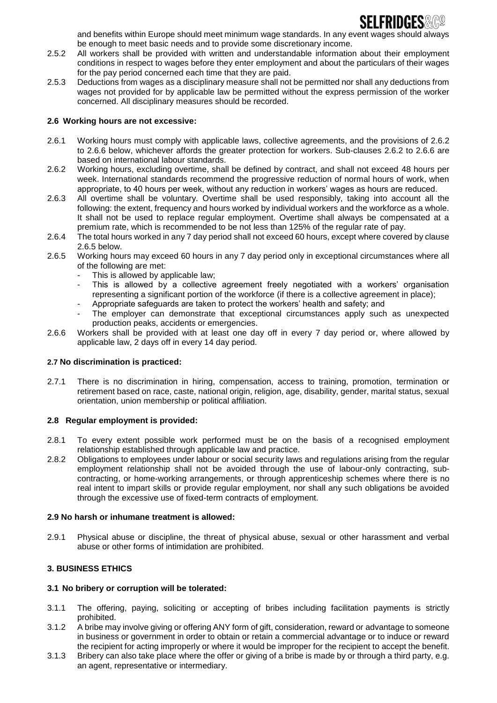

and benefits within Europe should meet minimum wage standards. In any event wages should always be enough to meet basic needs and to provide some discretionary income.

- 2.5.2 All workers shall be provided with written and understandable information about their employment conditions in respect to wages before they enter employment and about the particulars of their wages for the pay period concerned each time that they are paid.
- 2.5.3 Deductions from wages as a disciplinary measure shall not be permitted nor shall any deductions from wages not provided for by applicable law be permitted without the express permission of the worker concerned. All disciplinary measures should be recorded.

#### **2.6 Working hours are not excessive:**

- 2.6.1 Working hours must comply with applicable laws, collective agreements, and the provisions of 2.6.2 to 2.6.6 below, whichever affords the greater protection for workers. Sub-clauses 2.6.2 to 2.6.6 are based on international labour standards.
- 2.6.2 Working hours, excluding overtime, shall be defined by contract, and shall not exceed 48 hours per week. International standards recommend the progressive reduction of normal hours of work, when appropriate, to 40 hours per week, without any reduction in workers' wages as hours are reduced.
- 2.6.3 All overtime shall be voluntary. Overtime shall be used responsibly, taking into account all the following: the extent, frequency and hours worked by individual workers and the workforce as a whole. It shall not be used to replace regular employment. Overtime shall always be compensated at a premium rate, which is recommended to be not less than 125% of the regular rate of pay.
- 2.6.4 The total hours worked in any 7 day period shall not exceed 60 hours, except where covered by clause 2.6.5 below.
- 2.6.5 Working hours may exceed 60 hours in any 7 day period only in exceptional circumstances where all of the following are met:
	- This is allowed by applicable law;
	- This is allowed by a collective agreement freely negotiated with a workers' organisation representing a significant portion of the workforce (if there is a collective agreement in place);
	- Appropriate safeguards are taken to protect the workers' health and safety; and
	- The employer can demonstrate that exceptional circumstances apply such as unexpected production peaks, accidents or emergencies.
- 2.6.6 Workers shall be provided with at least one day off in every 7 day period or, where allowed by applicable law, 2 days off in every 14 day period.

#### **2.7 No discrimination is practiced:**

2.7.1 There is no discrimination in hiring, compensation, access to training, promotion, termination or retirement based on race, caste, national origin, religion, age, disability, gender, marital status, sexual orientation, union membership or political affiliation.

#### **2.8 Regular employment is provided:**

- 2.8.1 To every extent possible work performed must be on the basis of a recognised employment relationship established through applicable law and practice.
- 2.8.2 Obligations to employees under labour or social security laws and regulations arising from the regular employment relationship shall not be avoided through the use of labour-only contracting, subcontracting, or home-working arrangements, or through apprenticeship schemes where there is no real intent to impart skills or provide regular employment, nor shall any such obligations be avoided through the excessive use of fixed-term contracts of employment.

#### **2.9 No harsh or inhumane treatment is allowed:**

2.9.1 Physical abuse or discipline, the threat of physical abuse, sexual or other harassment and verbal abuse or other forms of intimidation are prohibited.

## **3. BUSINESS ETHICS**

## **3.1 No bribery or corruption will be tolerated:**

- 3.1.1 The offering, paying, soliciting or accepting of bribes including facilitation payments is strictly prohibited.
- 3.1.2 A bribe may involve giving or offering ANY form of gift, consideration, reward or advantage to someone in business or government in order to obtain or retain a commercial advantage or to induce or reward the recipient for acting improperly or where it would be improper for the recipient to accept the benefit.
- 3.1.3 Bribery can also take place where the offer or giving of a bribe is made by or through a third party, e.g. an agent, representative or intermediary.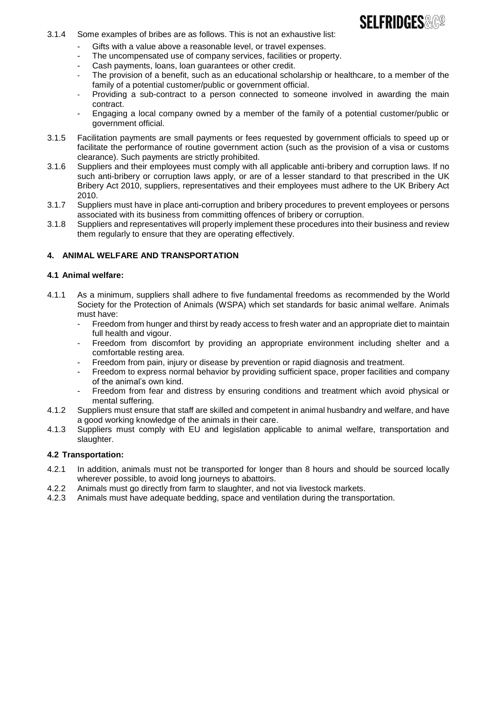

- 3.1.4 Some examples of bribes are as follows. This is not an exhaustive list:
	- Gifts with a value above a reasonable level, or travel expenses.
	- The uncompensated use of company services, facilities or property.
	- Cash payments, loans, loan guarantees or other credit.
	- The provision of a benefit, such as an educational scholarship or healthcare, to a member of the family of a potential customer/public or government official.
	- Providing a sub-contract to a person connected to someone involved in awarding the main contract.
	- Engaging a local company owned by a member of the family of a potential customer/public or government official.
- 3.1.5 Facilitation payments are small payments or fees requested by government officials to speed up or facilitate the performance of routine government action (such as the provision of a visa or customs clearance). Such payments are strictly prohibited.
- 3.1.6 Suppliers and their employees must comply with all applicable anti-bribery and corruption laws. If no such anti-bribery or corruption laws apply, or are of a lesser standard to that prescribed in the UK Bribery Act 2010, suppliers, representatives and their employees must adhere to the UK Bribery Act 2010.
- 3.1.7 Suppliers must have in place anti-corruption and bribery procedures to prevent employees or persons associated with its business from committing offences of bribery or corruption.
- 3.1.8 Suppliers and representatives will properly implement these procedures into their business and review them regularly to ensure that they are operating effectively.

## **4. ANIMAL WELFARE AND TRANSPORTATION**

#### **4.1 Animal welfare:**

- 4.1.1 As a minimum, suppliers shall adhere to five fundamental freedoms as recommended by the World Society for the Protection of Animals (WSPA) which set standards for basic animal welfare. Animals must have:
	- Freedom from hunger and thirst by ready access to fresh water and an appropriate diet to maintain full health and vigour.
	- Freedom from discomfort by providing an appropriate environment including shelter and a comfortable resting area.
	- Freedom from pain, injury or disease by prevention or rapid diagnosis and treatment.
	- Freedom to express normal behavior by providing sufficient space, proper facilities and company of the animal's own kind.
	- Freedom from fear and distress by ensuring conditions and treatment which avoid physical or mental suffering.
- 4.1.2 Suppliers must ensure that staff are skilled and competent in animal husbandry and welfare, and have a good working knowledge of the animals in their care.
- 4.1.3 Suppliers must comply with EU and legislation applicable to animal welfare, transportation and slaughter.

#### **4.2 Transportation:**

- 4.2.1 In addition, animals must not be transported for longer than 8 hours and should be sourced locally wherever possible, to avoid long journeys to abattoirs.
- 4.2.2 Animals must go directly from farm to slaughter, and not via livestock markets.<br>4.2.3 Animals must have adequate bedding, space and ventilation during the transpo
- Animals must have adequate bedding, space and ventilation during the transportation.